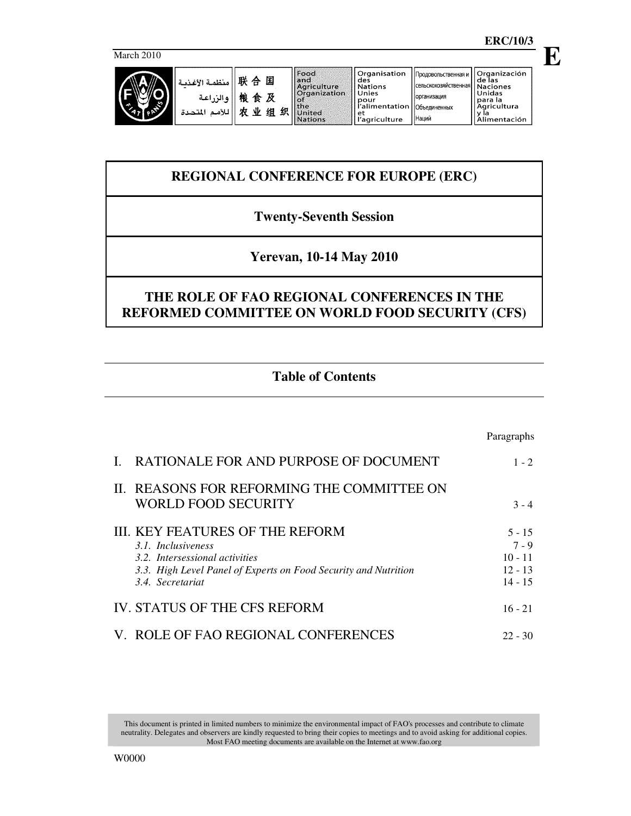**E**

March 2010

|                     | منظمة الأغذمة                | 联<br>国<br>₳                      | Food<br>and<br>Agriculture                                      | ll Organisation<br>des<br><b>Nations</b>                              | Продовольственная и<br>. (сельскохозяйственная  Naciones | <b>Organización</b><br>l de las                           |
|---------------------|------------------------------|----------------------------------|-----------------------------------------------------------------|-----------------------------------------------------------------------|----------------------------------------------------------|-----------------------------------------------------------|
| $\hat{\phantom{a}}$ | والزراعة<br>اللأمد<br>لمتحدة | 粽<br>及<br>食<br>业<br>织<br>细<br>÷t | Organization<br><b>COL</b><br>  the<br>United<br><b>Nations</b> | Unies<br>pour<br>r'alimentation   Объединенных<br>-et<br>'agriculture | <b>Порганизация</b><br><b>Наций</b>                      | Unidas<br>l para la<br>Agricultura<br>v la<br>limentación |

# **REGIONAL CONFERENCE FOR EUROPE (ERC)**

## **Twenty-Seventh Session**

## **Yerevan, 10-14 May 2010**

# **THE ROLE OF FAO REGIONAL CONFERENCES IN THE REFORMED COMMITTEE ON WORLD FOOD SECURITY (CFS)**

# **Table of Contents**

|                                                                                                                                                                                      | Paragraphs                                                 |
|--------------------------------------------------------------------------------------------------------------------------------------------------------------------------------------|------------------------------------------------------------|
| RATIONALE FOR AND PURPOSE OF DOCUMENT                                                                                                                                                | $1 - 2$                                                    |
| II. REASONS FOR REFORMING THE COMMITTEE ON<br><b>WORLD FOOD SECURITY</b>                                                                                                             | $3 - 4$                                                    |
| <b>III. KEY FEATURES OF THE REFORM</b><br>3.1. Inclusiveness<br>3.2. Intersessional activities<br>3.3. High Level Panel of Experts on Food Security and Nutrition<br>3.4 Secretariat | $5 - 15$<br>$7 - 9$<br>$10 - 11$<br>$12 - 13$<br>$14 - 15$ |
| IV. STATUS OF THE CFS REFORM                                                                                                                                                         | $16 - 21$                                                  |
| V. ROLE OF FAO REGIONAL CONFERENCES                                                                                                                                                  | $22 - 30$                                                  |

This document is printed in limited numbers to minimize the environmental impact of FAO's processes and contribute to climate neutrality. Delegates and observers are kindly requested to bring their copies to meetings and to avoid asking for additional copies. Most FAO meeting documents are available on the Internet at www.fao.org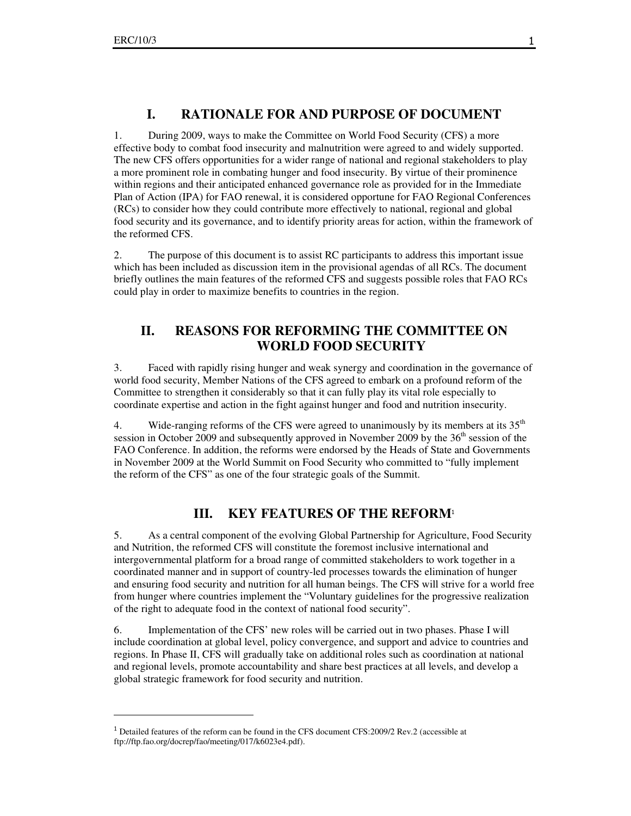$\overline{a}$ 

## **I. RATIONALE FOR AND PURPOSE OF DOCUMENT**

1. During 2009, ways to make the Committee on World Food Security (CFS) a more effective body to combat food insecurity and malnutrition were agreed to and widely supported. The new CFS offers opportunities for a wider range of national and regional stakeholders to play a more prominent role in combating hunger and food insecurity. By virtue of their prominence within regions and their anticipated enhanced governance role as provided for in the Immediate Plan of Action (IPA) for FAO renewal, it is considered opportune for FAO Regional Conferences (RCs) to consider how they could contribute more effectively to national, regional and global food security and its governance, and to identify priority areas for action, within the framework of the reformed CFS.

2. The purpose of this document is to assist RC participants to address this important issue which has been included as discussion item in the provisional agendas of all RCs. The document briefly outlines the main features of the reformed CFS and suggests possible roles that FAO RCs could play in order to maximize benefits to countries in the region.

## **II. REASONS FOR REFORMING THE COMMITTEE ON WORLD FOOD SECURITY**

3. Faced with rapidly rising hunger and weak synergy and coordination in the governance of world food security, Member Nations of the CFS agreed to embark on a profound reform of the Committee to strengthen it considerably so that it can fully play its vital role especially to coordinate expertise and action in the fight against hunger and food and nutrition insecurity.

4. Wide-ranging reforms of the CFS were agreed to unanimously by its members at its  $35<sup>th</sup>$ session in October 2009 and subsequently approved in November 2009 by the 36<sup>th</sup> session of the FAO Conference. In addition, the reforms were endorsed by the Heads of State and Governments in November 2009 at the World Summit on Food Security who committed to "fully implement the reform of the CFS" as one of the four strategic goals of the Summit.

## **III. KEY FEATURES OF THE REFORM**<sup>1</sup>

5. As a central component of the evolving Global Partnership for Agriculture, Food Security and Nutrition, the reformed CFS will constitute the foremost inclusive international and intergovernmental platform for a broad range of committed stakeholders to work together in a coordinated manner and in support of country-led processes towards the elimination of hunger and ensuring food security and nutrition for all human beings. The CFS will strive for a world free from hunger where countries implement the "Voluntary guidelines for the progressive realization of the right to adequate food in the context of national food security".

6. Implementation of the CFS' new roles will be carried out in two phases. Phase I will include coordination at global level, policy convergence, and support and advice to countries and regions. In Phase II, CFS will gradually take on additional roles such as coordination at national and regional levels, promote accountability and share best practices at all levels, and develop a global strategic framework for food security and nutrition.

<sup>&</sup>lt;sup>1</sup> Detailed features of the reform can be found in the CFS document CFS: 2009/2 Rev. 2 (accessible at ftp://ftp.fao.org/docrep/fao/meeting/017/k6023e4.pdf).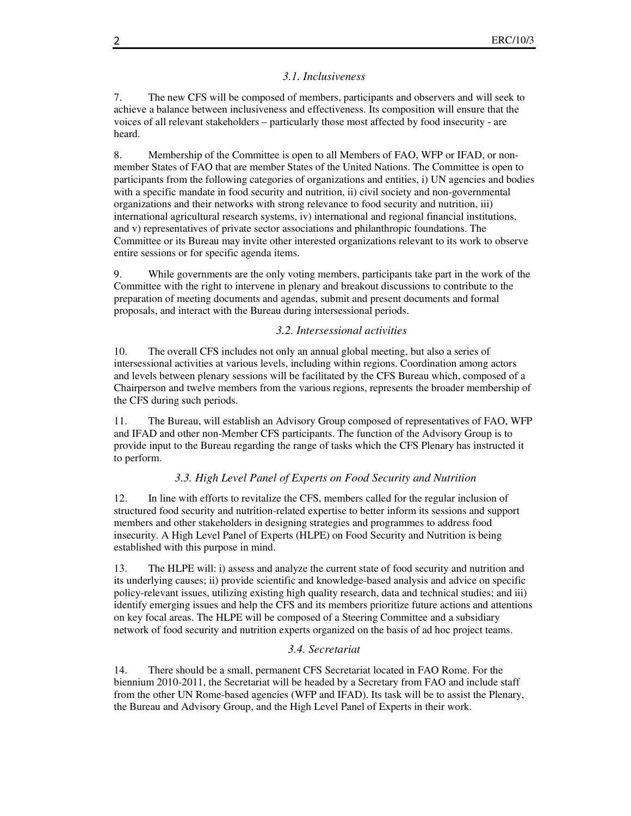#### *3.1. Inclusiveness*

7. The new CFS will be composed of members, participants and observers and will seek to achieve a balance between inclusiveness and effectiveness. Its composition will ensure that the voices of all relevant stakeholders – particularly those most affected by food insecurity - are heard.

8. Membership of the Committee is open to all Members of FAO, WFP or IFAD, or nonmember States of FAO that are member States of the United Nations. The Committee is open to participants from the following categories of organizations and entities, i) UN agencies and bodies with a specific mandate in food security and nutrition, ii) civil society and non-governmental organizations and their networks with strong relevance to food security and nutrition, iii) international agricultural research systems, iv) international and regional financial institutions, and v) representatives of private sector associations and philanthropic foundations. The Committee or its Bureau may invite other interested organizations relevant to its work to observe entire sessions or for specific agenda items.

9. While governments are the only voting members, participants take part in the work of the Committee with the right to intervene in plenary and breakout discussions to contribute to the preparation of meeting documents and agendas, submit and present documents and formal proposals, and interact with the Bureau during intersessional periods.

#### *3.2. Intersessional activities*

10. The overall CFS includes not only an annual global meeting, but also a series of intersessional activities at various levels, including within regions. Coordination among actors and levels between plenary sessions will be facilitated by the CFS Bureau which, composed of a Chairperson and twelve members from the various regions, represents the broader membership of the CFS during such periods.

11. The Bureau, will establish an Advisory Group composed of representatives of FAO, WFP and IFAD and other non-Member CFS participants. The function of the Advisory Group is to provide input to the Bureau regarding the range of tasks which the CFS Plenary has instructed it to perform.

#### *3.3. High Level Panel of Experts on Food Security and Nutrition*

12. In line with efforts to revitalize the CFS, members called for the regular inclusion of structured food security and nutrition-related expertise to better inform its sessions and support members and other stakeholders in designing strategies and programmes to address food insecurity. A High Level Panel of Experts (HLPE) on Food Security and Nutrition is being established with this purpose in mind.

13. The HLPE will: i) assess and analyze the current state of food security and nutrition and its underlying causes; ii) provide scientific and knowledge-based analysis and advice on specific policy-relevant issues, utilizing existing high quality research, data and technical studies; and iii) identify emerging issues and help the CFS and its members prioritize future actions and attentions on key focal areas. The HLPE will be composed of a Steering Committee and a subsidiary network of food security and nutrition experts organized on the basis of ad hoc project teams.

#### *3.4. Secretariat*

14. There should be a small, permanent CFS Secretariat located in FAO Rome. For the biennium 2010-2011, the Secretariat will be headed by a Secretary from FAO and include staff from the other UN Rome-based agencies (WFP and IFAD). Its task will be to assist the Plenary, the Bureau and Advisory Group, and the High Level Panel of Experts in their work.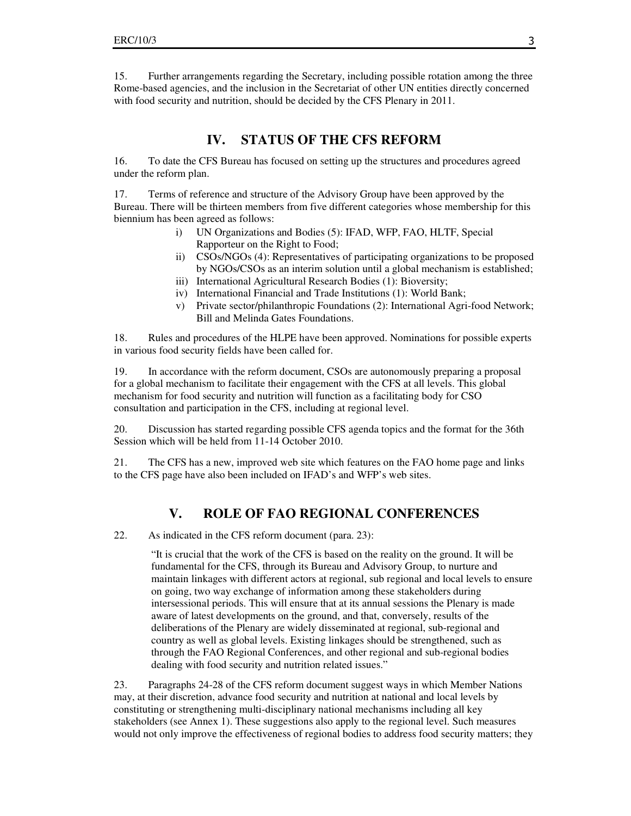15. Further arrangements regarding the Secretary, including possible rotation among the three Rome-based agencies, and the inclusion in the Secretariat of other UN entities directly concerned with food security and nutrition, should be decided by the CFS Plenary in 2011.

## **IV. STATUS OF THE CFS REFORM**

16. To date the CFS Bureau has focused on setting up the structures and procedures agreed under the reform plan.

17. Terms of reference and structure of the Advisory Group have been approved by the Bureau. There will be thirteen members from five different categories whose membership for this biennium has been agreed as follows:

- i) UN Organizations and Bodies (5): IFAD, WFP, FAO, HLTF, Special Rapporteur on the Right to Food;
- ii) CSOs/NGOs (4): Representatives of participating organizations to be proposed by NGOs/CSOs as an interim solution until a global mechanism is established;
- iii) International Agricultural Research Bodies (1): Bioversity;
- iv) International Financial and Trade Institutions (1): World Bank;
- v) Private sector/philanthropic Foundations (2): International Agri-food Network; Bill and Melinda Gates Foundations.

18. Rules and procedures of the HLPE have been approved. Nominations for possible experts in various food security fields have been called for.

19. In accordance with the reform document, CSOs are autonomously preparing a proposal for a global mechanism to facilitate their engagement with the CFS at all levels. This global mechanism for food security and nutrition will function as a facilitating body for CSO consultation and participation in the CFS, including at regional level.

20. Discussion has started regarding possible CFS agenda topics and the format for the 36th Session which will be held from 11-14 October 2010.

21. The CFS has a new, improved web site which features on the FAO home page and links to the CFS page have also been included on IFAD's and WFP's web sites.

## **V. ROLE OF FAO REGIONAL CONFERENCES**

22. As indicated in the CFS reform document (para. 23):

"It is crucial that the work of the CFS is based on the reality on the ground. It will be fundamental for the CFS, through its Bureau and Advisory Group, to nurture and maintain linkages with different actors at regional, sub regional and local levels to ensure on going, two way exchange of information among these stakeholders during intersessional periods. This will ensure that at its annual sessions the Plenary is made aware of latest developments on the ground, and that, conversely, results of the deliberations of the Plenary are widely disseminated at regional, sub-regional and country as well as global levels. Existing linkages should be strengthened, such as through the FAO Regional Conferences, and other regional and sub-regional bodies dealing with food security and nutrition related issues."

23. Paragraphs 24-28 of the CFS reform document suggest ways in which Member Nations may, at their discretion, advance food security and nutrition at national and local levels by constituting or strengthening multi-disciplinary national mechanisms including all key stakeholders (see Annex 1). These suggestions also apply to the regional level. Such measures would not only improve the effectiveness of regional bodies to address food security matters; they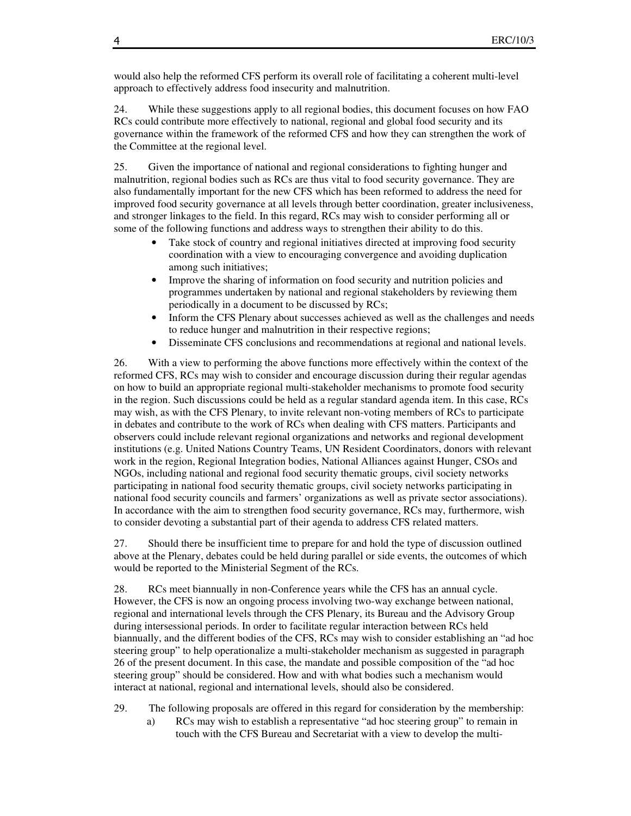would also help the reformed CFS perform its overall role of facilitating a coherent multi-level approach to effectively address food insecurity and malnutrition.

24. While these suggestions apply to all regional bodies, this document focuses on how FAO RCs could contribute more effectively to national, regional and global food security and its governance within the framework of the reformed CFS and how they can strengthen the work of the Committee at the regional level.

25. Given the importance of national and regional considerations to fighting hunger and malnutrition, regional bodies such as RCs are thus vital to food security governance. They are also fundamentally important for the new CFS which has been reformed to address the need for improved food security governance at all levels through better coordination, greater inclusiveness, and stronger linkages to the field. In this regard, RCs may wish to consider performing all or some of the following functions and address ways to strengthen their ability to do this.

- Take stock of country and regional initiatives directed at improving food security coordination with a view to encouraging convergence and avoiding duplication among such initiatives;
- Improve the sharing of information on food security and nutrition policies and programmes undertaken by national and regional stakeholders by reviewing them periodically in a document to be discussed by RCs;
- Inform the CFS Plenary about successes achieved as well as the challenges and needs to reduce hunger and malnutrition in their respective regions;
- Disseminate CFS conclusions and recommendations at regional and national levels.

26. With a view to performing the above functions more effectively within the context of the reformed CFS, RCs may wish to consider and encourage discussion during their regular agendas on how to build an appropriate regional multi-stakeholder mechanisms to promote food security in the region. Such discussions could be held as a regular standard agenda item. In this case, RCs may wish, as with the CFS Plenary, to invite relevant non-voting members of RCs to participate in debates and contribute to the work of RCs when dealing with CFS matters. Participants and observers could include relevant regional organizations and networks and regional development institutions (e.g. United Nations Country Teams, UN Resident Coordinators, donors with relevant work in the region, Regional Integration bodies, National Alliances against Hunger, CSOs and NGOs, including national and regional food security thematic groups, civil society networks participating in national food security thematic groups, civil society networks participating in national food security councils and farmers' organizations as well as private sector associations). In accordance with the aim to strengthen food security governance, RCs may, furthermore, wish to consider devoting a substantial part of their agenda to address CFS related matters.

27. Should there be insufficient time to prepare for and hold the type of discussion outlined above at the Plenary, debates could be held during parallel or side events, the outcomes of which would be reported to the Ministerial Segment of the RCs.

28. RCs meet biannually in non-Conference years while the CFS has an annual cycle. However, the CFS is now an ongoing process involving two-way exchange between national, regional and international levels through the CFS Plenary, its Bureau and the Advisory Group during intersessional periods. In order to facilitate regular interaction between RCs held biannually, and the different bodies of the CFS, RCs may wish to consider establishing an "ad hoc steering group" to help operationalize a multi-stakeholder mechanism as suggested in paragraph 26 of the present document. In this case, the mandate and possible composition of the "ad hoc steering group" should be considered. How and with what bodies such a mechanism would interact at national, regional and international levels, should also be considered.

- 29. The following proposals are offered in this regard for consideration by the membership:
	- a) RCs may wish to establish a representative "ad hoc steering group" to remain in touch with the CFS Bureau and Secretariat with a view to develop the multi-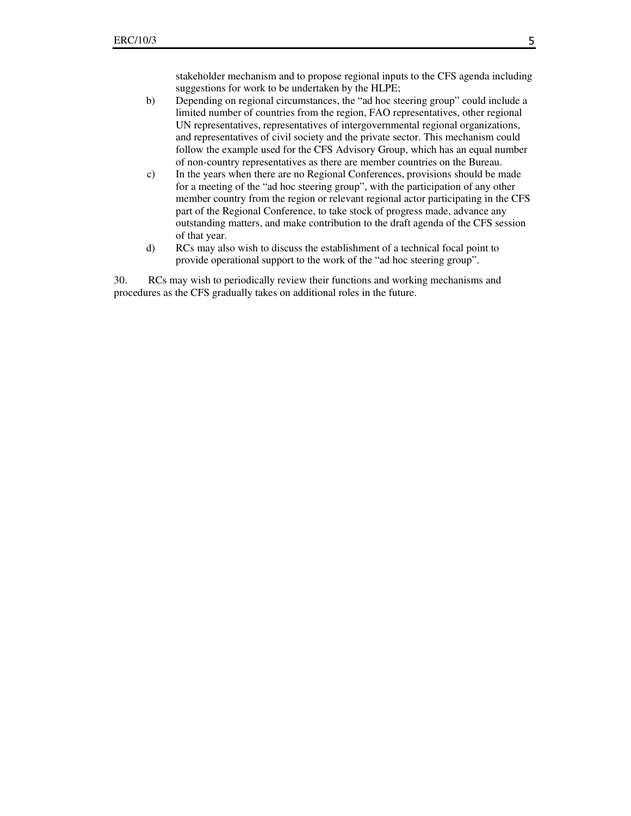stakeholder mechanism and to propose regional inputs to the CFS agenda including suggestions for work to be undertaken by the HLPE;

- b) Depending on regional circumstances, the "ad hoc steering group" could include a limited number of countries from the region, FAO representatives, other regional UN representatives, representatives of intergovernmental regional organizations, and representatives of civil society and the private sector. This mechanism could follow the example used for the CFS Advisory Group, which has an equal number of non-country representatives as there are member countries on the Bureau.
- c) In the years when there are no Regional Conferences, provisions should be made for a meeting of the "ad hoc steering group", with the participation of any other member country from the region or relevant regional actor participating in the CFS part of the Regional Conference, to take stock of progress made, advance any outstanding matters, and make contribution to the draft agenda of the CFS session of that year.
- d) RCs may also wish to discuss the establishment of a technical focal point to provide operational support to the work of the "ad hoc steering group".

30. RCs may wish to periodically review their functions and working mechanisms and procedures as the CFS gradually takes on additional roles in the future.